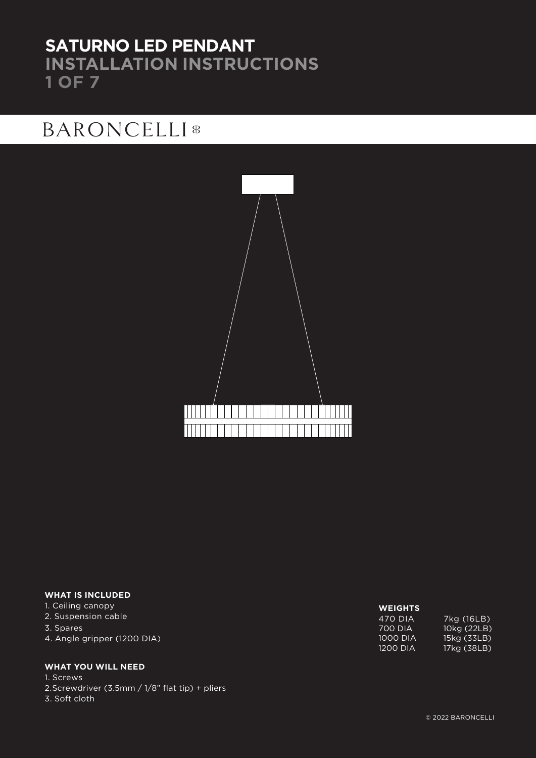### **SATURNO LED PENDANT INSTALLATION INSTRUCTIONS 1 OF 7**

## **BARONCELLI**<sup>8</sup>



### **WHAT IS INCLUDED**

### 1. Ceiling canopy

- 2. Suspension cable
- 3. Spares
- 4. Angle gripper (1200 DIA)

### **WHAT YOU WILL NEED**

1. Screws 2.Screwdriver (3.5mm / 1/8" flat tip) + pliers 3. Soft cloth

### **WEIGHTS**

470 DIA 7kg (16LB) 700 DIA 10kg (22LB)<br>1000 DIA 15kg (33LB) 1000 DIA 15kg (33LB)<br>1200 DIA 17kg (38LB) 17kg (38LB)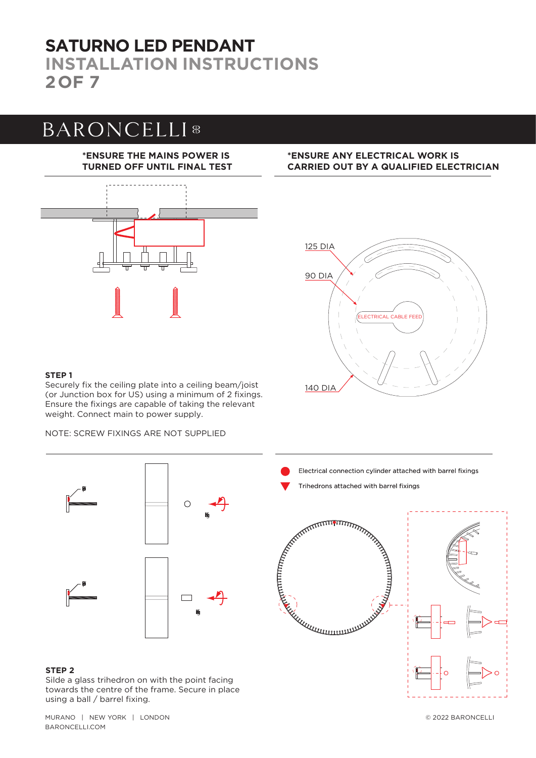### **SATURNO LED PENDANT INSTALLATION INSTRUCTIONS 2OF 7**

## **BARONCELLI**<sup>8</sup>

### **\*ENSURE THE MAINS POWER IS TURNED OFF UNTIL FINAL TEST**



### **\*ENSURE ANY ELECTRICAL WORK IS CARRIED OUT BY A QUALIFIED ELECTRICIAN**



### **STEP 1**

Securely fix the ceiling plate into a ceiling beam/joist (or Junction box for US) using a minimum of 2 fixings. Ensure the fixings are capable of taking the relevant weight. Connect main to power supply.

NOTE: SCREW FIXINGS ARE NOT SUPPLIED



### **STEP 2**

Silde a glass trihedron on with the point facing towards the centre of the frame. Secure in place using a ball / barrel fixing.

MURANO | NEW YORK | LONDON © 2022 BARONCELLI BARONCELLI.COM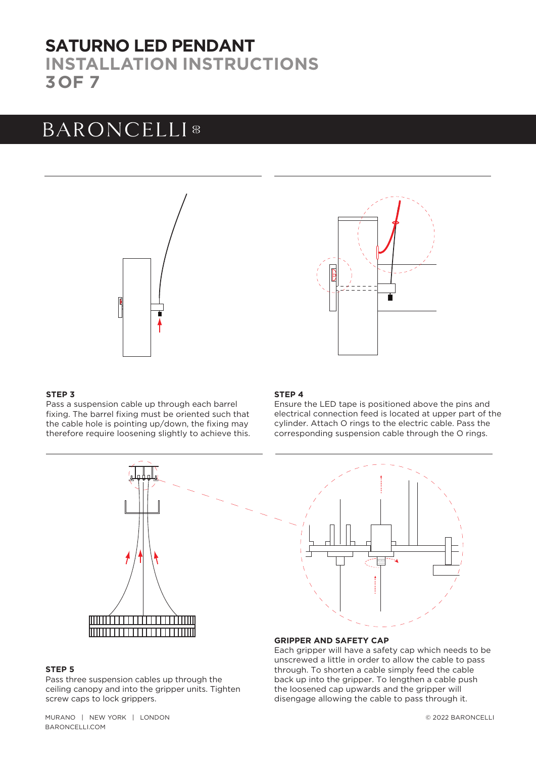### **SATURNO LED PENDANT INSTALLATION INSTRUCTIONS 3OF 7**

# **BARONCELLI**<sup>8</sup>





### **STEP 3**

Pass a suspension cable up through each barrel fixing. The barrel fixing must be oriented such that the cable hole is pointing up/down, the fixing may therefore require loosening slightly to achieve this.

#### **STEP 4**

Ensure the LED tape is positioned above the pins and electrical connection feed is located at upper part of the cylinder. Attach O rings to the electric cable. Pass the corresponding suspension cable through the O rings.



#### **STEP 5**

Pass three suspension cables up through the ceiling canopy and into the gripper units. Tighten screw caps to lock grippers.



#### **GRIPPER AND SAFETY CAP**

Each gripper will have a safety cap which needs to be unscrewed a little in order to allow the cable to pass through. To shorten a cable simply feed the cable back up into the gripper. To lengthen a cable push the loosened cap upwards and the gripper will disengage allowing the cable to pass through it.

MURANO | NEW YORK | LONDON BARONCELLI.COM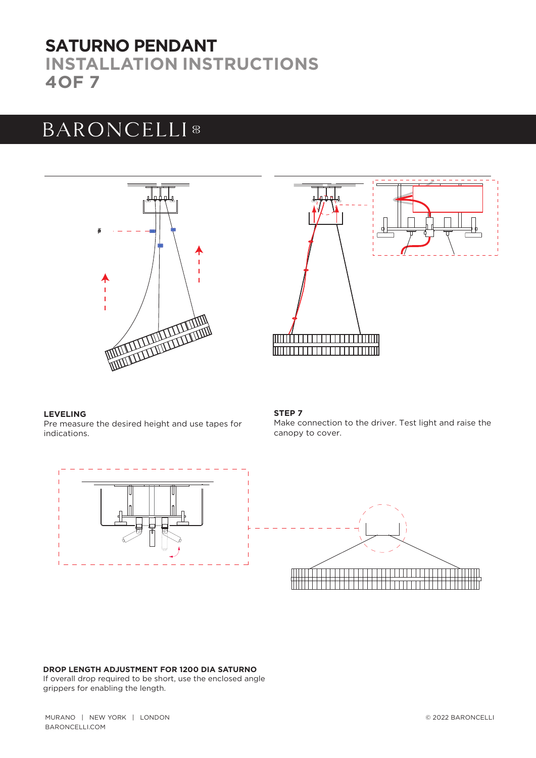### **SATURNO PENDANT INSTALLATION INSTRUCTIONS 4OF 7**

## **BARONCELLI**<sup>8</sup>





### **LEVELING**

Pre measure the desired height and use tapes for indications.

### **STEP 7**

Make connection to the driver. Test light and raise the canopy to cover.



#### **DROP LENGTH ADJUSTMENT FOR 1200 DIA SATURNO**

If overall drop required to be short, use the enclosed angle grippers for enabling the length.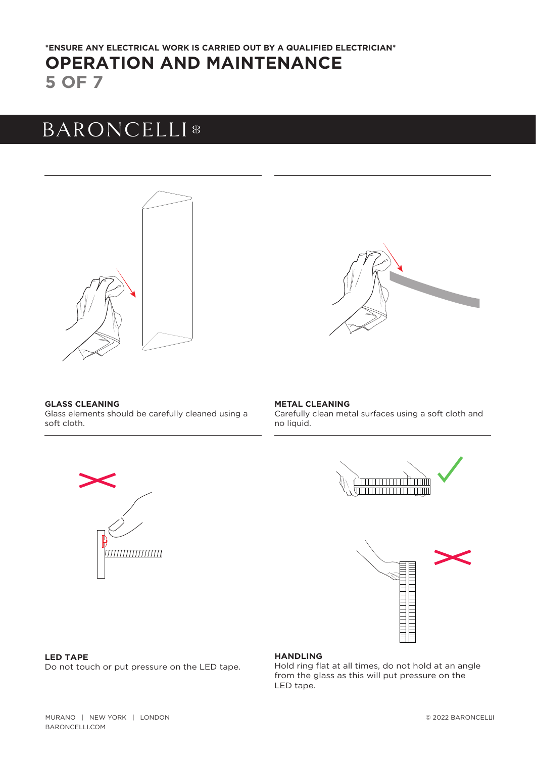### **5 OF 7 OPERATION AND MAINTENANCE \*ENSURE ANY ELECTRICAL WORK IS CARRIED OUT BY A QUALIFIED ELECTRICIAN\***

# **BARONCELLI**<sup>8</sup>





#### **GLASS CLEANING** Glass elements should be carefully cleaned using a soft cloth.

#### **METAL CLEANING** Carefully clean metal surfaces using a soft cloth and no liquid.





### **LED TAPE**

Do not touch or put pressure on the LED tape.

77777777777777777

### **HANDLING**

Hold ring flat at all times, do not hold at an angle from the glass as this will put pressure on the LED tape.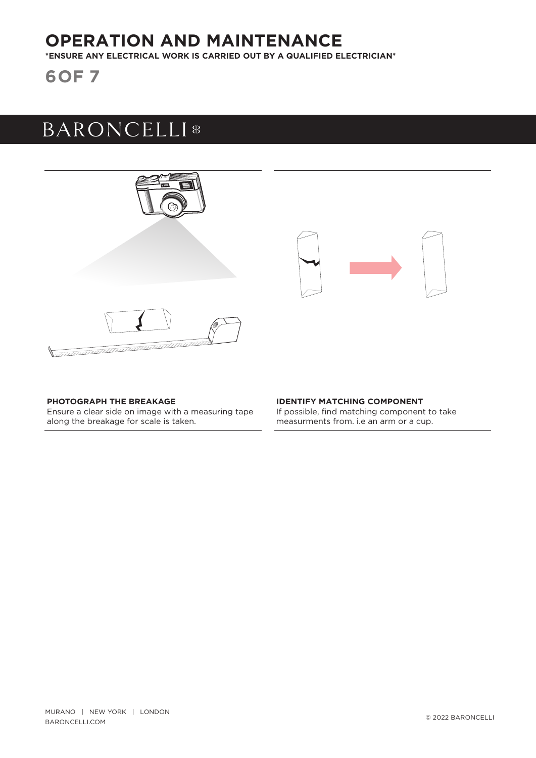### **OPERATION AND MAINTENANCE**

**\*ENSURE ANY ELECTRICAL WORK IS CARRIED OUT BY A QUALIFIED ELECTRICIAN\***

**6OF 7**

## **BARONCELLI**<sup>8</sup>



### **PHOTOGRAPH THE BREAKAGE**

Ensure a clear side on image with a measuring tape along the breakage for scale is taken.

#### **IDENTIFY MATCHING COMPONENT**  If possible, find matching component to take measurments from. i.e an arm or a cup.